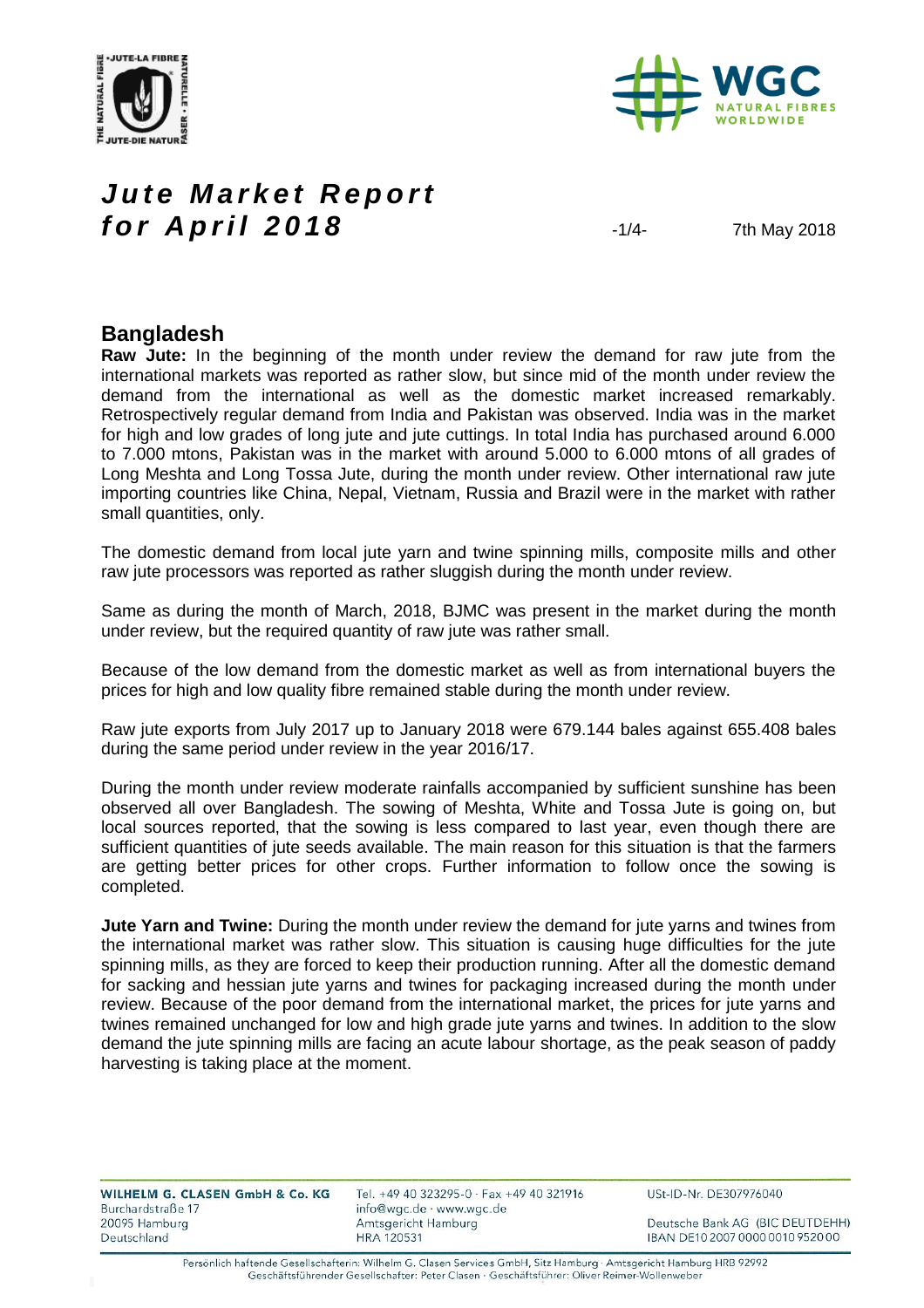



#### *Jute Market Report* **for April 2018**  $\frac{1}{4}$   $\frac{1}{4}$   $\frac{7 \text{th May 2018}}{2018}$

#### **Bangladesh**

**Raw Jute:** In the beginning of the month under review the demand for raw jute from the international markets was reported as rather slow, but since mid of the month under review the demand from the international as well as the domestic market increased remarkably. Retrospectively regular demand from India and Pakistan was observed. India was in the market for high and low grades of long jute and jute cuttings. In total India has purchased around 6.000 to 7.000 mtons, Pakistan was in the market with around 5.000 to 6.000 mtons of all grades of Long Meshta and Long Tossa Jute, during the month under review. Other international raw jute importing countries like China, Nepal, Vietnam, Russia and Brazil were in the market with rather small quantities, only.

The domestic demand from local jute yarn and twine spinning mills, composite mills and other raw jute processors was reported as rather sluggish during the month under review.

Same as during the month of March, 2018, BJMC was present in the market during the month under review, but the required quantity of raw jute was rather small.

Because of the low demand from the domestic market as well as from international buyers the prices for high and low quality fibre remained stable during the month under review.

Raw jute exports from July 2017 up to January 2018 were 679.144 bales against 655.408 bales during the same period under review in the year 2016/17.

During the month under review moderate rainfalls accompanied by sufficient sunshine has been observed all over Bangladesh. The sowing of Meshta, White and Tossa Jute is going on, but local sources reported, that the sowing is less compared to last year, even though there are sufficient quantities of jute seeds available. The main reason for this situation is that the farmers are getting better prices for other crops. Further information to follow once the sowing is completed.

**Jute Yarn and Twine:** During the month under review the demand for jute yarns and twines from the international market was rather slow. This situation is causing huge difficulties for the jute spinning mills, as they are forced to keep their production running. After all the domestic demand for sacking and hessian jute yarns and twines for packaging increased during the month under review. Because of the poor demand from the international market, the prices for jute yarns and twines remained unchanged for low and high grade jute yarns and twines. In addition to the slow demand the jute spinning mills are facing an acute labour shortage, as the peak season of paddy harvesting is taking place at the moment.

| WILHELM G. CLASEN GmbH & Co. KG |  |  |  |
|---------------------------------|--|--|--|
| Burchardstraße 17               |  |  |  |
| 20095 Hamburg                   |  |  |  |
| Deutschland                     |  |  |  |

Tel. +49 40 323295-0 · Fax +49 40 321916 info@wgc.de · www.wgc.de Amtsgericht Hamburg **HRA 120531** 

USt-ID-Nr. DE307976040

Deutsche Bank AG (BIC DEUTDEHH) IBAN DE10 2007 0000 0010 9520 00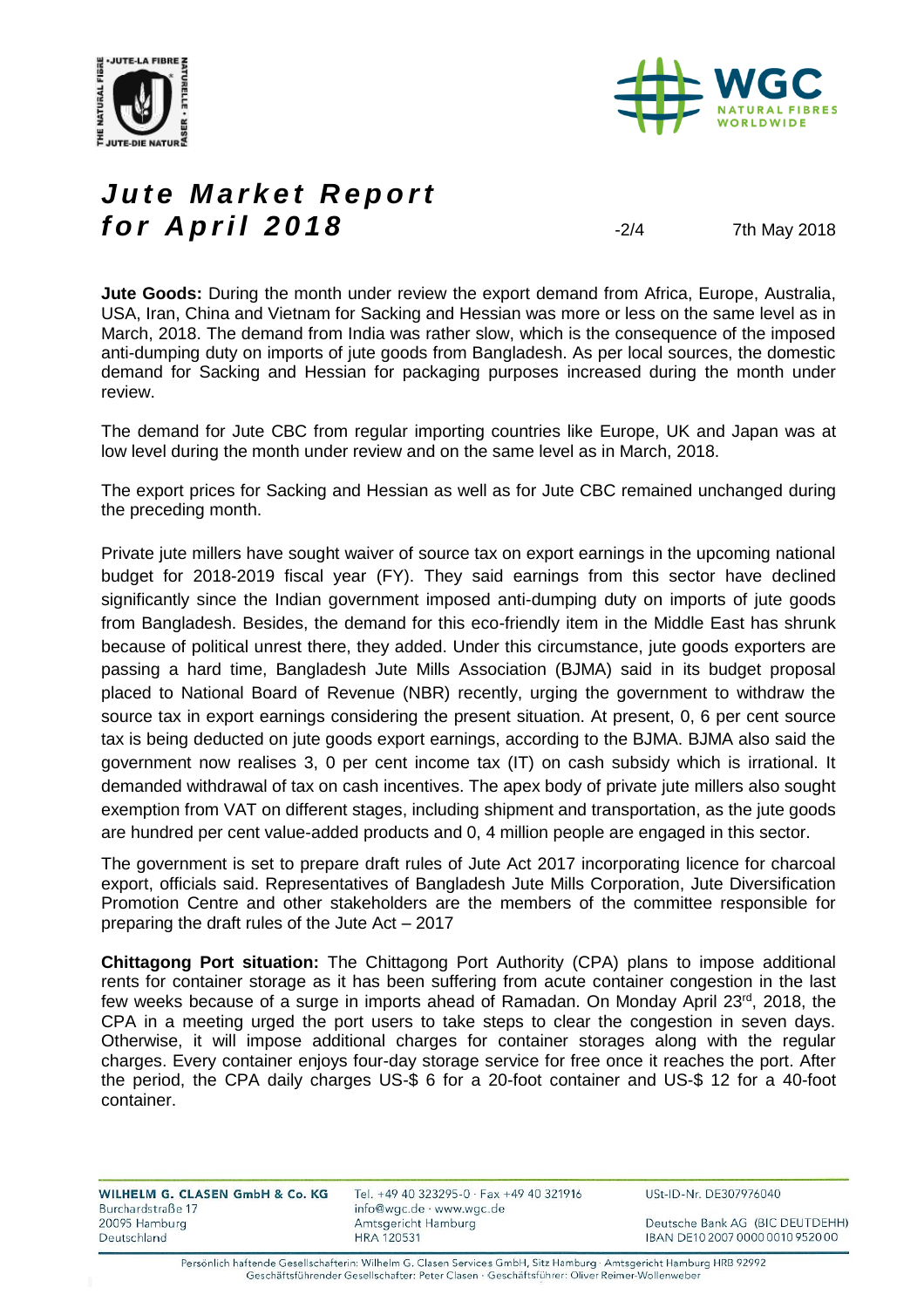



# *Jute Market Report* **for April 2018**  $\frac{204}{18}$   $\frac{204}{18}$   $\frac{7 \text{th May 2018}}{201}$

**Jute Goods:** During the month under review the export demand from Africa, Europe, Australia, USA, Iran, China and Vietnam for Sacking and Hessian was more or less on the same level as in March, 2018. The demand from India was rather slow, which is the consequence of the imposed anti-dumping duty on imports of jute goods from Bangladesh. As per local sources, the domestic demand for Sacking and Hessian for packaging purposes increased during the month under review.

The demand for Jute CBC from regular importing countries like Europe, UK and Japan was at low level during the month under review and on the same level as in March, 2018.

The export prices for Sacking and Hessian as well as for Jute CBC remained unchanged during the preceding month.

Private jute millers have sought waiver of source tax on export earnings in the upcoming national budget for 2018-2019 fiscal year (FY). They said earnings from this sector have declined significantly since the Indian government imposed anti-dumping duty on imports of jute goods from Bangladesh. Besides, the demand for this eco-friendly item in the Middle East has shrunk because of political unrest there, they added. Under this circumstance, jute goods exporters are passing a hard time, Bangladesh Jute Mills Association (BJMA) said in its budget proposal placed to National Board of Revenue (NBR) recently, urging the government to withdraw the source tax in export earnings considering the present situation. At present, 0, 6 per cent source tax is being deducted on jute goods export earnings, according to the BJMA. BJMA also said the government now realises 3, 0 per cent income tax (IT) on cash subsidy which is irrational. It demanded withdrawal of tax on cash incentives. The apex body of private jute millers also sought exemption from VAT on different stages, including shipment and transportation, as the jute goods are hundred per cent value-added products and 0, 4 million people are engaged in this sector.

The government is set to prepare draft rules of Jute Act 2017 incorporating licence for charcoal export, officials said. Representatives of Bangladesh Jute Mills Corporation, Jute Diversification Promotion Centre and other stakeholders are the members of the committee responsible for preparing the draft rules of the Jute Act – 2017

**Chittagong Port situation:** The Chittagong Port Authority (CPA) plans to impose additional rents for container storage as it has been suffering from acute container congestion in the last few weeks because of a surge in imports ahead of Ramadan. On Monday April 23<sup>rd</sup>, 2018, the CPA in a meeting urged the port users to take steps to clear the congestion in seven days. Otherwise, it will impose additional charges for container storages along with the regular charges. Every container enjoys four-day storage service for free once it reaches the port. After the period, the CPA daily charges US-\$ 6 for a 20-foot container and US-\$ 12 for a 40-foot container.

| WILHELM G. CLASEN GmbH & Co. KG<br>Burchardstraße 17 | Tel. +49 40 323295-0 · Fax +49 40 321916<br>info@wgc.de · www.wgc.de | USt-ID-Nr. DE307976040           |
|------------------------------------------------------|----------------------------------------------------------------------|----------------------------------|
| 20095 Hamburg                                        | Amtsgericht Hamburg                                                  | Deutsche Bank AG (BIC DEUTDEHH)  |
| Deutschland                                          | <b>HRA 120531</b>                                                    | IBAN DE10 2007 0000 0010 9520 00 |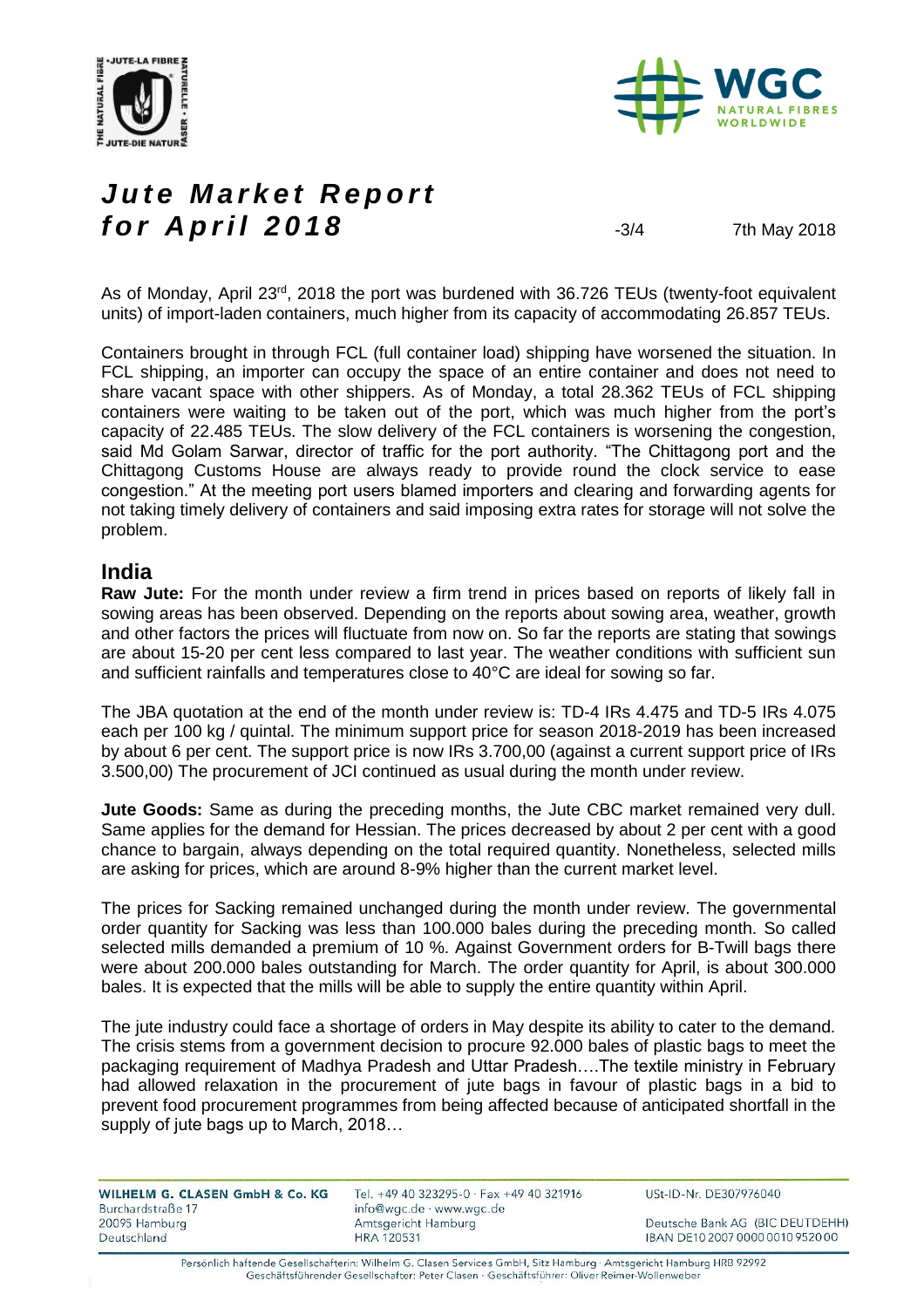



# Jute Market Report **for April 2018** -3/4 7th May 2018

As of Monday, April 23<sup>rd</sup>, 2018 the port was burdened with 36.726 TEUs (twenty-foot equivalent units) of import-laden containers, much higher from its capacity of accommodating 26.857 TEUs.

Containers brought in through FCL (full container load) shipping have worsened the situation. In FCL shipping, an importer can occupy the space of an entire container and does not need to share vacant space with other shippers. As of Monday, a total 28.362 TEUs of FCL shipping containers were waiting to be taken out of the port, which was much higher from the port's capacity of 22.485 TEUs. The slow delivery of the FCL containers is worsening the congestion, said Md Golam Sarwar, director of traffic for the port authority. "The Chittagong port and the Chittagong Customs House are always ready to provide round the clock service to ease congestion." At the meeting port users blamed importers and clearing and forwarding agents for not taking timely delivery of containers and said imposing extra rates for storage will not solve the problem.

#### **India**

**Raw Jute:** For the month under review a firm trend in prices based on reports of likely fall in sowing areas has been observed. Depending on the reports about sowing area, weather, growth and other factors the prices will fluctuate from now on. So far the reports are stating that sowings are about 15-20 per cent less compared to last year. The weather conditions with sufficient sun and sufficient rainfalls and temperatures close to 40°C are ideal for sowing so far.

The JBA quotation at the end of the month under review is: TD-4 IRs 4.475 and TD-5 IRs 4.075 each per 100 kg / quintal. The minimum support price for season 2018-2019 has been increased by about 6 per cent. The support price is now IRs 3.700,00 (against a current support price of IRs 3.500,00) The procurement of JCI continued as usual during the month under review.

**Jute Goods:** Same as during the preceding months, the Jute CBC market remained very dull. Same applies for the demand for Hessian. The prices decreased by about 2 per cent with a good chance to bargain, always depending on the total required quantity. Nonetheless, selected mills are asking for prices, which are around 8-9% higher than the current market level.

The prices for Sacking remained unchanged during the month under review. The governmental order quantity for Sacking was less than 100.000 bales during the preceding month. So called selected mills demanded a premium of 10 %. Against Government orders for B-Twill bags there were about 200.000 bales outstanding for March. The order quantity for April, is about 300.000 bales. It is expected that the mills will be able to supply the entire quantity within April.

The jute industry could face a shortage of orders in May despite its ability to cater to the demand. The crisis stems from a government decision to procure 92.000 bales of plastic bags to meet the packaging requirement of Madhya Pradesh and Uttar Pradesh….The textile ministry in February had allowed relaxation in the procurement of jute bags in favour of plastic bags in a bid to prevent food procurement programmes from being affected because of anticipated shortfall in the supply of jute bags up to March, 2018…

| WILHELM G. CLASEN GmbH & Co. KG<br>Burchardstraße 17 | Tel. +49 40 323295-0 · Fax +49 40 321916<br>info@wgc.de · www.wgc.de | USt-ID-Nr. DE307976040           |
|------------------------------------------------------|----------------------------------------------------------------------|----------------------------------|
| 20095 Hamburg                                        | Amtsgericht Hamburg                                                  | Deutsche Bank AG (BIC DEUTDEHH)  |
| Deutschland                                          | <b>HRA 120531</b>                                                    | IBAN DE10 2007 0000 0010 9520 00 |

Persönlich haftende Gesellschafterin: Wilhelm G. Clasen Services GmbH, Sitz Hamburg · Amtsgericht Hamburg HRB 92992 Geschäftsführender Gesellschafter: Peter Clasen · Geschäftsführer: Oliver Reimer-Wollenweber